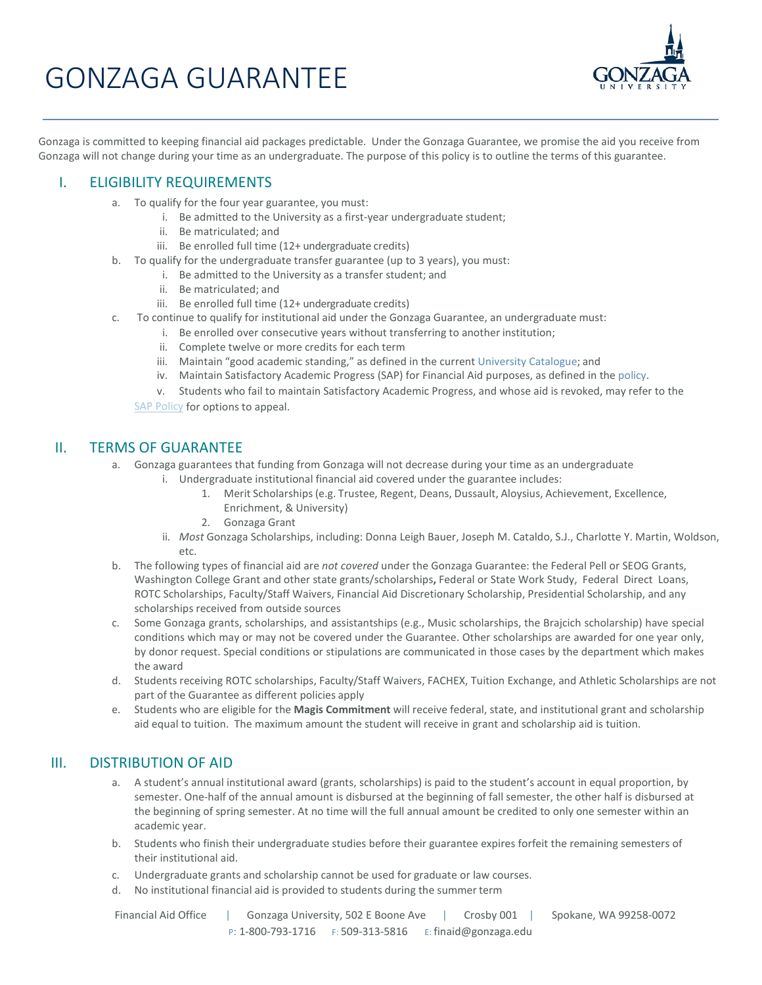# GONZAGA GUARANTEE



Gonzaga is committed to keeping financial aid packages predictable. Under the Gonzaga Guarantee, we promise the aid you receive from Gonzaga will not change during your time as an undergraduate. The purpose of this policy is to outline the terms of this guarantee.

## I. ELIGIBILITY REQUIREMENTS

- a. To qualify for the four year guarantee, you must:
	- i. Be admitted to the University as a first-year undergraduate student;
	- ii. Be matriculated; and
	- iii. Be enrolled full time (12+ undergraduate credits)
- b. To qualify for the undergraduate transfer guarantee (up to 3 years), you must:
	- i. Be admitted to the University as a transfer student; and
	- ii. Be matriculated; and
	- iii. Be enrolled full time (12+ undergraduate credits)
- c. To continue to qualify for institutional aid under the Gonzaga Guarantee, an undergraduate must:
	- i. Be enrolled over consecutive years without transferring to another institution;
	- ii. Complete twelve or more credits for each term
	- iii. Maintain "good academic standing," as defined in the current [University Catalogue;](http://www.gonzaga.edu/catalogues/) and
	- iv. Maintain Satisfactory Academic Progress (SAP) for Financial Aid purposes, as defined in the [policy.](http://www.gonzaga.edu/Campus-Resources/Offices-and-Services-A-Z/Student-Financial-Services/Financial-Aid/tools-resources/default.asp)
	- v. Students who fail to maintain Satisfactory Academic Progress, and whose aid is revoked, may refer to th[e](http://www.gonzaga.edu/Campus-Resources/Offices-and-Services-A-Z/Student-Financial-Services/Financial-Aid/Downloads/SAP_Policy.pdf)

[SAP Policy](http://www.gonzaga.edu/Campus-Resources/Offices-and-Services-A-Z/Student-Financial-Services/Financial-Aid/Downloads/SAP_Policy.pdf) for options to appeal.

#### II. TERMS OF GUARANTEE

- a. Gonzaga guarantees that funding from Gonzaga will not decrease during your time as an undergraduate
	- i. Undergraduate institutional financial aid covered under the guarantee includes:
		- 1. Merit Scholarships(e.g. Trustee, Regent, Deans, Dussault, Aloysius, Achievement, Excellence, Enrichment, & University)
		- 2. Gonzaga Grant
		- ii. *Most* Gonzaga Scholarships, including: Donna Leigh Bauer, Joseph M. Cataldo, S.J., Charlotte Y. Martin, Woldson, etc.
- b. The following types of financial aid are *not covered* under the Gonzaga Guarantee: the Federal Pell or SEOG Grants, Washington College Grant and other state grants/scholarships**,** Federal or State Work Study, Federal Direct Loans, ROTC Scholarships, Faculty/Staff Waivers, Financial Aid Discretionary Scholarship, Presidential Scholarship, and any scholarships received from outside sources
- c. Some Gonzaga grants, scholarships, and assistantships (e.g., Music scholarships, the Brajcich scholarship) have special conditions which may or may not be covered under the Guarantee. Other scholarships are awarded for one year only, by donor request. Special conditions or stipulations are communicated in those cases by the department which makes the award
- d. Students receiving ROTC scholarships, Faculty/Staff Waivers, FACHEX, Tuition Exchange, and Athletic Scholarships are not part of the Guarantee as different policies apply
- e. Students who are eligible for the **Magis Commitment** will receive federal, state, and institutional grant and scholarship aid equal to tuition. The maximum amount the student will receive in grant and scholarship aid is tuition.

# III. DISTRIBUTION OF AID

- a. A student's annual institutional award (grants, scholarships) is paid to the student's account in equal proportion, by semester. One-half of the annual amount is disbursed at the beginning of fall semester, the other half is disbursed at the beginning of spring semester. At no time will the full annual amount be credited to only one semester within an academic year.
- b. Students who finish their undergraduate studies before their guarantee expires forfeit the remaining semesters of their institutional aid.
- c. Undergraduate grants and scholarship cannot be used for graduate or law courses.
- d. No institutional financial aid is provided to students during the summer term